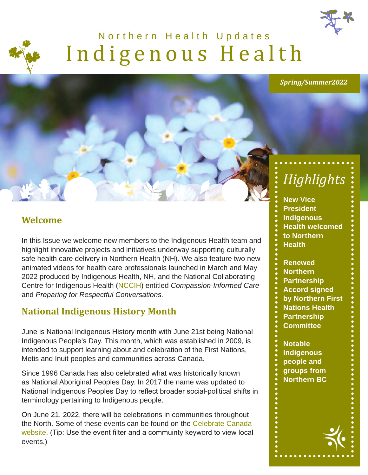



# Indigenous Health Northern Health Updates



# *Highlights*

**New Vice President Indigenous Health welcomed to Northern Health** 

**Renewed Northern Partnership Accord signed by Northern First Nations Health Partnership Committee**

**Notable Indigenous people and groups from Northern BC**

#### **Welcome**

In this Issue we welcome new members to the Indigenous Health team and highlight innovative projects and initiatives underway supporting culturally safe health care delivery in Northern Health (NH). We also feature two new animated videos for health care professionals launched in March and May 2022 produced by Indigenous Health, NH, and the National Collaborating Centre for Indigenous Health ([NCCIH\)](https://www.nccih.ca/en/default.aspx) entitled *Compassion-Informed Care* and *Preparing for Respectful Conversations.*

#### **National Indigenous History Month**

June is National Indigenous History month with June 21st being National Indigenous People's Day. This month, which was established in 2009, is intended to support learning about and celebration of the First Nations, Metis and Inuit peoples and communities across Canada.

Since 1996 Canada has also celebrated what was historically known as National Aboriginal Peoples Day. In 2017 the name was updated to National Indigenous Peoples Day to reflect broader social-political shifts in terminology pertaining to Indigenous people.

On June 21, 2022, there will be celebrations in communities throughout the North. Some of these events can be found on the [Celebrate Canada](https://www.canada.ca/en/canadian-heritage/campaigns/list-events.html#eventslist)  [website](https://www.canada.ca/en/canadian-heritage/campaigns/list-events.html#eventslist). (Tip: Use the event filter and a commuinty keyword to view local events.)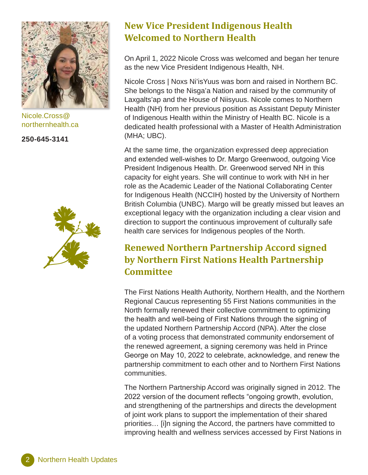

Nicole.Cross[@](mailto:Nicole.Cross%40northernhealth.ca?subject=) [northernhealth.ca](mailto:Nicole.Cross%40northernhealth.ca?subject=)

**250-645-3141**



#### **New Vice President Indigenous Health Welcomed to Northern Health**

On April 1, 2022 Nicole Cross was welcomed and began her tenure as the new Vice President Indigenous Health, NH.

Nicole Cross | Noxs Ni'isYuus was born and raised in Northern BC. She belongs to the Nisga'a Nation and raised by the community of Laxgalts'ap and the House of Niisyuus. Nicole comes to Northern Health (NH) from her previous position as Assistant Deputy Minister of Indigenous Health within the Ministry of Health BC. Nicole is a dedicated health professional with a Master of Health Administration (MHA; UBC).

At the same time, the organization expressed deep appreciation and extended well-wishes to Dr. Margo Greenwood, outgoing Vice President Indigenous Health. Dr. Greenwood served NH in this capacity for eight years. She will continue to work with NH in her role as the Academic Leader of the National Collaborating Center for Indigenous Health (NCCIH) hosted by the University of Northern British Columbia (UNBC). Margo will be greatly missed but leaves an exceptional legacy with the organization including a clear vision and direction to support the continuous improvement of culturally safe health care services for Indigenous peoples of the North.

#### **Renewed Northern Partnership Accord signed by Northern First Nations Health Partnership Committee**

The First Nations Health Authority, Northern Health, and the Northern Regional Caucus representing 55 First Nations communities in the North formally renewed their collective commitment to optimizing the health and well-being of First Nations through the signing of the updated Northern Partnership Accord (NPA). After the close of a voting process that demonstrated community endorsement of the renewed agreement, a signing ceremony was held in Prince George on May 10, 2022 to celebrate, acknowledge, and renew the partnership commitment to each other and to Northern First Nations communities.

The Northern Partnership Accord was originally signed in 2012. The 2022 version of the document reflects "ongoing growth, evolution, and strengthening of the partnerships and directs the development of joint work plans to support the implementation of their shared priorities… [i]n signing the Accord, the partners have committed to improving health and wellness services accessed by First Nations in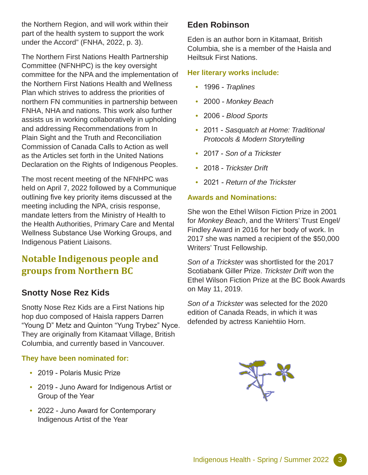the Northern Region, and will work within their part of the health system to support the work under the Accord" (FNHA, 2022, p. 3).

The Northern First Nations Health Partnership Committee (NFNHPC) is the key oversight committee for the NPA and the implementation of the Northern First Nations Health and Wellness Plan which strives to address the priorities of northern FN communities in partnership between FNHA, NHA and nations. This work also further assists us in working collaboratively in upholding and addressing Recommendations from In Plain Sight and the Truth and Reconciliation Commission of Canada Calls to Action as well as the Articles set forth in the United Nations Declaration on the Rights of Indigenous Peoples.

The most recent meeting of the NFNHPC was held on April 7, 2022 followed by a Communique outlining five key priority items discussed at the meeting including the NPA, crisis response, mandate letters from the Ministry of Health to the Health Authorities, Primary Care and Mental Wellness Substance Use Working Groups, and Indigenous Patient Liaisons.

#### **Notable Indigenous people and groups from Northern BC**

#### **Snotty Nose Rez Kids**

Snotty Nose Rez Kids are a First Nations hip hop duo composed of Haisla rappers Darren "Young D" Metz and Quinton "Yung Trybez" Nyce. They are originally from Kitamaat Village, British Columbia, and currently based in Vancouver.

#### **They have been nominated for:**

- 2019 Polaris Music Prize
- 2019 Juno Award for Indigenous Artist or Group of the Year
- 2022 Juno Award for Contemporary Indigenous Artist of the Year

#### **Eden Robinson**

Eden is an author born in Kitamaat, British Columbia, she is a member of the Haisla and Heiltsuk First Nations.

#### **Her literary works include:**

- 1996 *Traplines*
- 2000 *Monkey Beach*
- 2006 *Blood Sports*
- 2011 *Sasquatch at Home: Traditional Protocols & Modern Storytelling*
- 2017 *Son of a Trickster*
- 2018 *Trickster Drift*
- 2021 *Return of the Trickster*

#### **Awards and Nominations:**

She won the Ethel Wilson Fiction Prize in 2001 for *Monkey Beach*, and the Writers' Trust Engel/ Findley Award in 2016 for her body of work. In 2017 she was named a recipient of the \$50,000 Writers' Trust Fellowship.

*Son of a Trickster* was shortlisted for the 2017 Scotiabank Giller Prize. *Trickster Drift* won the Ethel Wilson Fiction Prize at the BC Book Awards on May 11, 2019.

*Son of a Trickster* was selected for the 2020 edition of Canada Reads, in which it was defended by actress Kaniehtiio Horn.

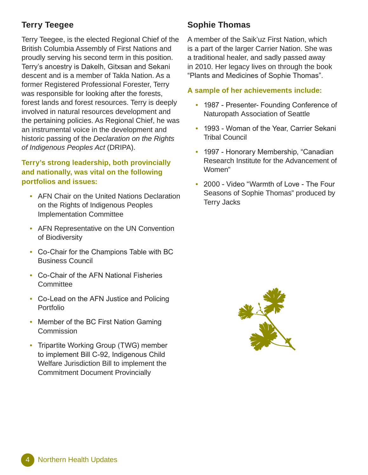#### **Terry Teegee**

Terry Teegee, is the elected Regional Chief of the British Columbia Assembly of First Nations and proudly serving his second term in this position. Terry's ancestry is Dakelh, Gitxsan and Sekani descent and is a member of Takla Nation. As a former Registered Professional Forester, Terry was responsible for looking after the forests, forest lands and forest resources. Terry is deeply involved in natural resources development and the pertaining policies. As Regional Chief, he was an instrumental voice in the development and historic passing of the *Declaration on the Rights of Indigenous Peoples Act* (DRIPA).

#### **Terry's strong leadership, both provincially and nationally, was vital on the following portfolios and issues:**

- AFN Chair on the United Nations Declaration on the Rights of Indigenous Peoples Implementation Committee
- AFN Representative on the UN Convention of Biodiversity
- Co-Chair for the Champions Table with BC Business Council
- Co-Chair of the AFN National Fisheries **Committee**
- Co-Lead on the AFN Justice and Policing Portfolio
- Member of the BC First Nation Gaming **Commission**
- Tripartite Working Group (TWG) member to implement Bill C-92, Indigenous Child Welfare Jurisdiction Bill to implement the Commitment Document Provincially

#### **Sophie Thomas**

A member of the Saik'uz First Nation, which is a part of the larger Carrier Nation. She was a traditional healer, and sadly passed away in 2010. Her legacy lives on through the book "Plants and Medicines of Sophie Thomas".

#### **A sample of her achievements include:**

- 1987 Presenter- Founding Conference of Naturopath Association of Seattle
- 1993 Woman of the Year, Carrier Sekani Tribal Council
- 1997 Honorary Membership, "Canadian Research Institute for the Advancement of Women"
- 2000 Video "Warmth of Love The Four Seasons of Sophie Thomas" produced by Terry Jacks

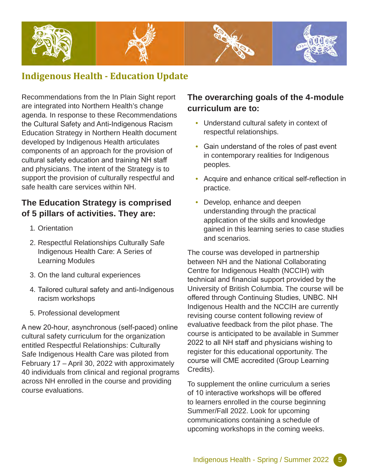

#### **Indigenous Health - Education Update**

Recommendations from the In Plain Sight report are integrated into Northern Health's change agenda. In response to these Recommendations the Cultural Safety and Anti-Indigenous Racism Education Strategy in Northern Health document developed by Indigenous Health articulates components of an approach for the provision of cultural safety education and training NH staff and physicians. The intent of the Strategy is to support the provision of culturally respectful and safe health care services within NH.

#### **The Education Strategy is comprised of 5 pillars of activities. They are:**

- 1. Orientation
- 2. Respectful Relationships Culturally Safe Indigenous Health Care: A Series of Learning Modules
- 3. On the land cultural experiences
- 4. Tailored cultural safety and anti-Indigenous racism workshops
- 5. Professional development

A new 20-hour, asynchronous (self-paced) online cultural safety curriculum for the organization entitled Respectful Relationships: Culturally Safe Indigenous Health Care was piloted from February 17 – April 30, 2022 with approximately 40 individuals from clinical and regional programs across NH enrolled in the course and providing course evaluations.

#### **The overarching goals of the 4-module curriculum are to:**

- Understand cultural safety in context of respectful relationships.
- Gain understand of the roles of past event in contemporary realities for Indigenous peoples.
- Acquire and enhance critical self-reflection in practice.
- Develop, enhance and deepen understanding through the practical application of the skills and knowledge gained in this learning series to case studies and scenarios.

The course was developed in partnership between NH and the National Collaborating Centre for Indigenous Health (NCCIH) with technical and financial support provided by the University of British Columbia. The course will be offered through Continuing Studies, UNBC. NH Indigenous Health and the NCCIH are currently revising course content following review of evaluative feedback from the pilot phase. The course is anticipated to be available in Summer 2022 to all NH staff and physicians wishing to register for this educational opportunity. The course will CME accredited (Group Learning Credits).

To supplement the online curriculum a series of 10 interactive workshops will be offered to learners enrolled in the course beginning Summer/Fall 2022. Look for upcoming communications containing a schedule of upcoming workshops in the coming weeks.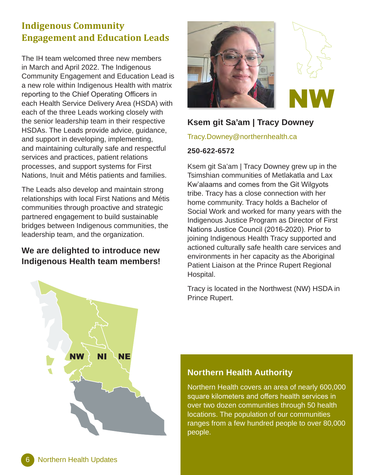#### **Indigenous Community Engagement and Education Leads**

The IH team welcomed three new members in March and April 2022. The Indigenous Community Engagement and Education Lead is a new role within Indigenous Health with matrix reporting to the Chief Operating Officers in each Health Service Delivery Area (HSDA) with each of the three Leads working closely with the senior leadership team in their respective HSDAs. The Leads provide advice, guidance, and support in developing, implementing, and maintaining culturally safe and respectful services and practices, patient relations processes, and support systems for First Nations, Inuit and Métis patients and families.

The Leads also develop and maintain strong relationships with local First Nations and Métis communities through proactive and strategic partnered engagement to build sustainable bridges between Indigenous communities, the leadership team, and the organization.

#### **We are delighted to introduce new Indigenous Health team members!**





#### **Ksem git Sa'am | Tracy Downey**

[Tracy.Downey@northernhealth.ca](mailto:Tracy.Downey%40northernhealth.ca?subject=)

#### **250-622-6572**

Ksem git Sa'am | Tracy Downey grew up in the Tsimshian communities of Metlakatla and Lax Kw'alaams and comes from the Git Wilgyots tribe. Tracy has a close connection with her home community. Tracy holds a Bachelor of Social Work and worked for many years with the Indigenous Justice Program as Director of First Nations Justice Council (2016-2020). Prior to joining Indigenous Health Tracy supported and actioned culturally safe health care services and environments in her capacity as the Aboriginal Patient Liaison at the Prince Rupert Regional Hospital.

Tracy is located in the Northwest (NW) HSDA in Prince Rupert.



#### **Northern Health Authority**

Northern Health covers an area of nearly 600,000 square kilometers and offers health services in over two dozen communities through 50 health locations. The population of our communities ranges from a few hundred people to over 80,000 people.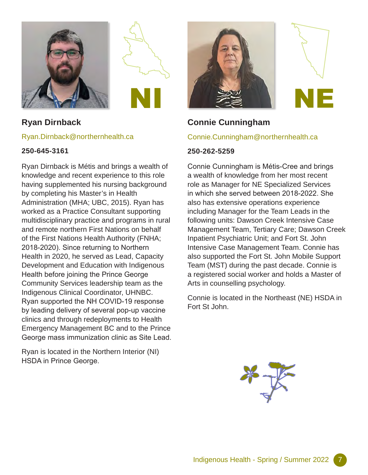



#### **Ryan Dirnback**

#### [Ryan.Dirnback@northernhealth.ca](mailto:Ryan.Dirnback%40northernhealth.ca?subject=)

#### **250-645-3161**

Ryan Dirnback is Métis and brings a wealth of knowledge and recent experience to this role having supplemented his nursing background by completing his Master's in Health Administration (MHA; UBC, 2015). Ryan has worked as a Practice Consultant supporting multidisciplinary practice and programs in rural and remote northern First Nations on behalf of the First Nations Health Authority (FNHA; 2018-2020). Since returning to Northern Health in 2020, he served as Lead, Capacity Development and Education with Indigenous Health before joining the Prince George Community Services leadership team as the Indigenous Clinical Coordinator, UHNBC. Ryan supported the NH COVID-19 response by leading delivery of several pop-up vaccine clinics and through redeployments to Health Emergency Management BC and to the Prince George mass immunization clinic as Site Lead.

Ryan is located in the Northern Interior (NI) HSDA in Prince George.



#### **Connie Cunningham**

#### [Connie.Cunningham@northernhealth.ca](mailto:Connie.Cunningham%40northernhealth.ca?subject=)

#### **250-262-5259**

Connie Cunningham is Métis-Cree and brings a wealth of knowledge from her most recent role as Manager for NE Specialized Services in which she served between 2018-2022. She also has extensive operations experience including Manager for the Team Leads in the following units: Dawson Creek Intensive Case Management Team, Tertiary Care; Dawson Creek Inpatient Psychiatric Unit; and Fort St. John Intensive Case Management Team. Connie has also supported the Fort St. John Mobile Support Team (MST) during the past decade. Connie is a registered social worker and holds a Master of Arts in counselling psychology.

Connie is located in the Northeast (NE) HSDA in Fort St John.

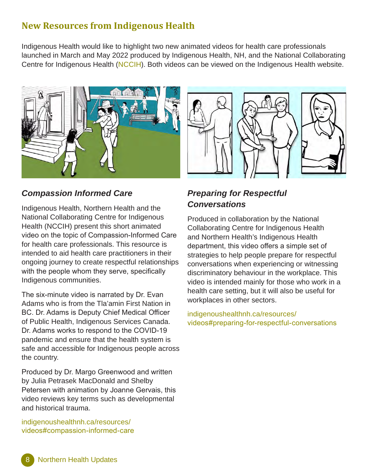#### **New Resources from Indigenous Health**

Indigenous Health would like to highlight two new animated videos for health care professionals launched in March and May 2022 produced by Indigenous Health, NH, and the National Collaborating Centre for Indigenous Health ([NCCIH\)](https://www.nccih.ca/en/default.aspx). Both videos can be viewed on the Indigenous Health website.



#### *Compassion Informed Care*

Indigenous Health, Northern Health and the National Collaborating Centre for Indigenous Health (NCCIH) present this short animated video on the topic of Compassion-Informed Care for health care professionals. This resource is intended to aid health care practitioners in their ongoing journey to create respectful relationships with the people whom they serve, specifically Indigenous communities.

The six-minute video is narrated by Dr. Evan Adams who is from the Tla'amin First Nation in BC. Dr. Adams is Deputy Chief Medical Officer of Public Health, Indigenous Services Canada. Dr. Adams works to respond to the COVID-19 pandemic and ensure that the health system is safe and accessible for Indigenous people across the country.

Produced by Dr. Margo Greenwood and written by Julia Petrasek MacDonald and Shelby Petersen with animation by Joanne Gervais, this video reviews key terms such as developmental and historical trauma.

[indigenoushealthnh.ca/resources/](https://www.indigenoushealthnh.ca/resources/videos#compassion-informed-care) [videos#compassion-informed-care](https://www.indigenoushealthnh.ca/resources/videos#compassion-informed-care)

## *Preparing for Respectful Conversations*

Produced in collaboration by the National Collaborating Centre for Indigenous Health and Northern Health's Indigenous Health department, this video offers a simple set of strategies to help people prepare for respectful conversations when experiencing or witnessing discriminatory behaviour in the workplace. This video is intended mainly for those who work in a health care setting, but it will also be useful for workplaces in other sectors.

[indigenoushealthnh.ca/resources/](https://www.indigenoushealthnh.ca/resources/videos#preparing-for-respectful-conversations) [videos#preparing-for-respectful-conversations](https://www.indigenoushealthnh.ca/resources/videos#preparing-for-respectful-conversations)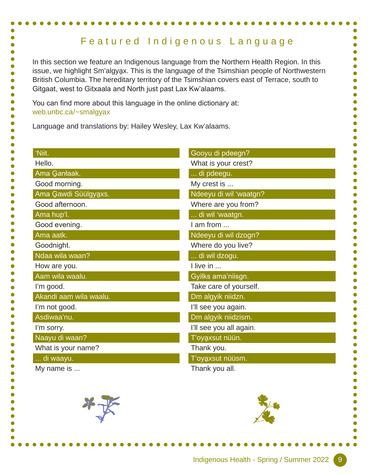### Featured Indigenous Language

In this section we feature an Indigenous language from the Northern Health Region. In this issue, we highlight Sm'algya̱x. This is the language of the Tsimshian people of Northwestern British Columbia. The hereditary territory of the Tsimshian covers east of Terrace, south to Gitgaat, west to Gitxaala and North just past Lax Kw'alaams.

You can find more about this language in the online dictionary at: [web.unbc.ca/~smalgyax](https://web.unbc.ca/~smalgyax/)

Language and translations by: Hailey Wesley, Lax Kw'alaams.

| 'Niit.                 | Gooyu di pdeegn?        |
|------------------------|-------------------------|
| Hello.                 | What is your crest?     |
| Ama Ganłaak.           | di pdeegu.              |
| Good morning.          | My crest is             |
| Ama Gawdi Süülgyaxs.   | Ndeeyu di wil 'waatgn?  |
| Good afternoon.        | Where are you from?     |
| Ama hup'l.             | di wil 'waatgn.         |
| Good evening.          | I am from               |
| Ama aatk.              | Ndeeyu di wil dzogn?    |
| Goodnight.             | Where do you live?      |
| Ndaa wila waan?        | di wil dzogu.           |
| How are you.           | I live in               |
| Aam wila waalu.        | Gyilks ama'niisgn.      |
| I'm good.              | Take care of yourself.  |
| Akandi aam wila waalu. | Dm algyik niidzn.       |
| I'm not good.          | l'Il see you again.     |
| Asdiwaa'nu.            | Dm algyik niidzism.     |
| I'm sorry.             | I'll see you all again. |
| Naayu di waan?         | T'oyaxsut nüün.         |
| What is your name?     | Thank you.              |
| di waayu.              | T'oyaxsut nüüsm.        |
| My name is             | Thank you all.          |



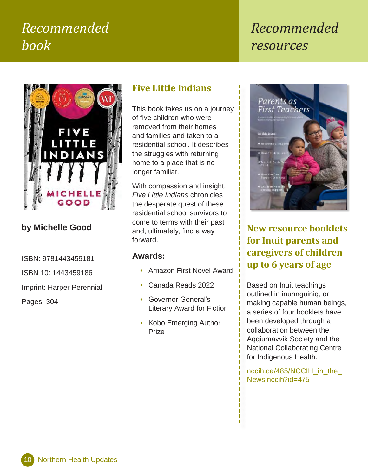# *Recommended book*

# *Recommended resources*



#### **by Michelle Good**

ISBN: 9781443459181

ISBN 10: 1443459186

Imprint: Harper Perennial

Pages: 304

#### **Five Little Indians**

This book takes us on a journey of five children who were removed from their homes and families and taken to a residential school. It describes the struggles with returning home to a place that is no longer familiar.

With compassion and insight, *Five Little Indians* chronicles the desperate quest of these residential school survivors to come to terms with their past and, ulti[m](http://www.perinatalservicesbc.ca/Documents/Resources/Honouring_Indigenous_Womens_and_Families_Pregnancy_Journeys.pdf)ately, find a way forward.

#### **Awards:**

- Amazon First Novel Award
- Canada Reads 2022
- Governor General's Literary Award for Fiction
- Kobo Emerging Author Prize



**New resource booklets for Inuit parents and caregivers of children up to 6 years of age**

Based on Inuit teachings outlined in inunnguiniq, or making capable human beings, a series of four booklets have been developed through a collaboration between the Aqqiumavvik Society and the National Collaborating Centre for Indigenous Health.

nccih.ca/485/NCCIH\_in\_the [News.nccih?id=475](https://www.nccih.ca/485/NCCIH_in_the_News.nccih?id=475)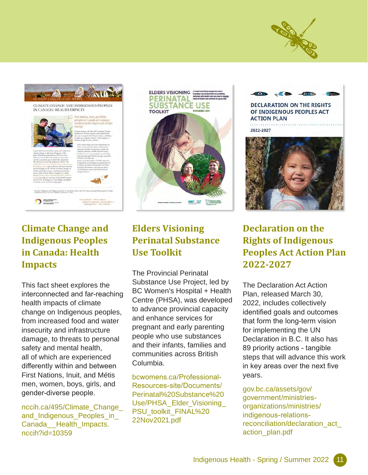



#### **Climate Change and Indigenous Peoples in Canada: Health Impacts**

This fact sheet explores the interconnected and far-reaching health impacts of climate change on Indigenous peoples, from increased food and water insecurity and infrastructure damage, to threats to personal safety and mental health, all of which are experienced differently within and between First Nations, Inuit, and Métis men, women, boys, girls, and gender-diverse people.

[nccih.ca/495/Climate\\_Change\\_](https://www.nccih.ca/495/Climate_Change_and_Indigenous_Peoples_in_Canada__Health_Impacts.nccih?id=10359) [and\\_Indigenous\\_Peoples\\_in\\_](https://www.nccih.ca/495/Climate_Change_and_Indigenous_Peoples_in_Canada__Health_Impacts.nccih?id=10359) [Canada\\_\\_Health\\_Impacts.](https://www.nccih.ca/495/Climate_Change_and_Indigenous_Peoples_in_Canada__Health_Impacts.nccih?id=10359) [nccih?id=10359](https://www.nccih.ca/495/Climate_Change_and_Indigenous_Peoples_in_Canada__Health_Impacts.nccih?id=10359)



#### **Elders Visioning Perinatal Substance Use Toolkit**

The Provincial Perinatal Substance Use Project, led by BC Women's Hospital + Health Centre (PHSA), was developed to advance provincial capacity and enhance services for pregnant and early parenting people who use substances and their infants, families and communities across British Columbia.

[bcwomens.ca/Professional-](http://www.bcwomens.ca/Professional-Resources-site/Documents/Perinatal%20Substance%20Use/PHSA_Elder_Visioning_PSU_toolkit_FINAL%2022Nov2021.pdf)[Resources-site/Documents/](http://www.bcwomens.ca/Professional-Resources-site/Documents/Perinatal%20Substance%20Use/PHSA_Elder_Visioning_PSU_toolkit_FINAL%2022Nov2021.pdf) [Perinatal%20Substance%20](http://www.bcwomens.ca/Professional-Resources-site/Documents/Perinatal%20Substance%20Use/PHSA_Elder_Visioning_PSU_toolkit_FINAL%2022Nov2021.pdf) [Use/PHSA\\_Elder\\_Visioning\\_](http://www.bcwomens.ca/Professional-Resources-site/Documents/Perinatal%20Substance%20Use/PHSA_Elder_Visioning_PSU_toolkit_FINAL%2022Nov2021.pdf) [PSU\\_toolkit\\_FINAL%20](http://www.bcwomens.ca/Professional-Resources-site/Documents/Perinatal%20Substance%20Use/PHSA_Elder_Visioning_PSU_toolkit_FINAL%2022Nov2021.pdf) [22Nov2021.pdf](http://www.bcwomens.ca/Professional-Resources-site/Documents/Perinatal%20Substance%20Use/PHSA_Elder_Visioning_PSU_toolkit_FINAL%2022Nov2021.pdf)



2022-2027



#### **Declaration on the Rights of Indigenous Peoples Act Action Plan 2022-2027**

The Declaration Act Action Plan, released March 30, 2022, includes collectively identified goals and outcomes that form the long-term vision for implementing the UN Declaration in B.C. It also has 89 priority actions - tangible steps that will advance this work in key areas over the next five years.

#### [gov.bc.ca/assets/gov/](https://www2.gov.bc.ca/assets/gov/government/ministries-organizations/ministries/indigenous-relations-reconciliation/declaration_act_action_plan.pdf)

[government/ministries](https://www2.gov.bc.ca/assets/gov/government/ministries-organizations/ministries/indigenous-relations-reconciliation/declaration_act_action_plan.pdf)[organizations/ministries/](https://www2.gov.bc.ca/assets/gov/government/ministries-organizations/ministries/indigenous-relations-reconciliation/declaration_act_action_plan.pdf) [indigenous-relations](https://www2.gov.bc.ca/assets/gov/government/ministries-organizations/ministries/indigenous-relations-reconciliation/declaration_act_action_plan.pdf)[reconciliation/declaration\\_act\\_](https://www2.gov.bc.ca/assets/gov/government/ministries-organizations/ministries/indigenous-relations-reconciliation/declaration_act_action_plan.pdf) [action\\_plan.pdf](https://www2.gov.bc.ca/assets/gov/government/ministries-organizations/ministries/indigenous-relations-reconciliation/declaration_act_action_plan.pdf)